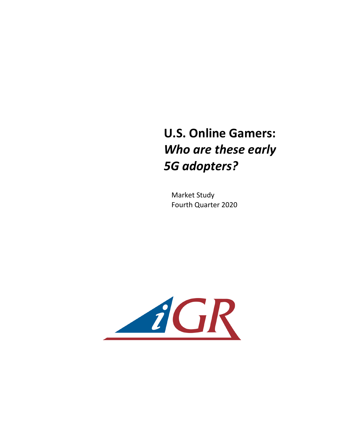## **U.S. Online Gamers: Who are these early** *5G adopters?*

**Market Study** Fourth Quarter 2020

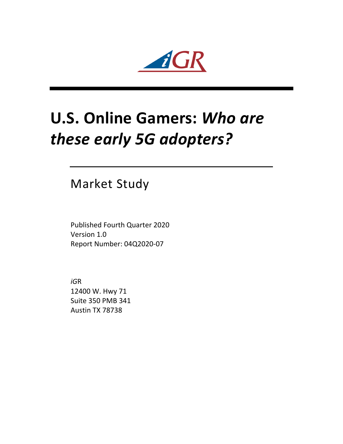

## **U.S. Online Gamers: Who are** *these early 5G adopters?*

Market Study

Published Fourth Quarter 2020 Version 1.0 Report Number: 04Q2020-07

*iG*R 12400 W. Hwy 71 Suite 350 PMB 341 Austin TX 78738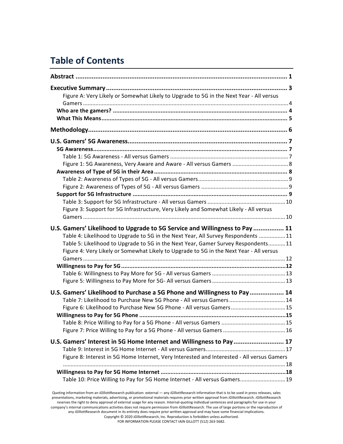## **Table of Contents**

| Figure A: Very Likely or Somewhat Likely to Upgrade to 5G in the Next Year - All versus                                                                                                                                                                                                                                                         |  |
|-------------------------------------------------------------------------------------------------------------------------------------------------------------------------------------------------------------------------------------------------------------------------------------------------------------------------------------------------|--|
|                                                                                                                                                                                                                                                                                                                                                 |  |
|                                                                                                                                                                                                                                                                                                                                                 |  |
|                                                                                                                                                                                                                                                                                                                                                 |  |
| Figure 1: 5G Awareness, Very Aware and Aware - All versus Gamers  8                                                                                                                                                                                                                                                                             |  |
|                                                                                                                                                                                                                                                                                                                                                 |  |
| Figure 3: Support for 5G Infrastructure, Very Likely and Somewhat Likely - All versus                                                                                                                                                                                                                                                           |  |
| U.S. Gamers' Likelihood to Upgrade to 5G Service and Willingness to Pay  11<br>Table 4: Likelihood to Upgrade to 5G in the Next Year, All Survey Respondents 11<br>Table 5: Likelihood to Upgrade to 5G in the Next Year, Gamer Survey Respondents11<br>Figure 4: Very Likely or Somewhat Likely to Upgrade to 5G in the Next Year - All versus |  |
|                                                                                                                                                                                                                                                                                                                                                 |  |
| U.S. Gamers' Likelihood to Purchase a 5G Phone and Willingness to Pay 14<br>Table 7: Likelihood to Purchase New 5G Phone - All versus Gamers  14<br>Figure 6: Likelihood to Purchase New 5G Phone - All versus Gamers15                                                                                                                         |  |
| U.S. Gamers' Interest in 5G Home Internet and Willingness to Pay 17<br>Figure 8: Interest in 5G Home Internet, Very Interested and Interested - All versus Gamers                                                                                                                                                                               |  |
| Table 10: Price Willing to Pay for 5G Home Internet - All versus Gamers 19                                                                                                                                                                                                                                                                      |  |

Quoting information from an *iGillottResearch publication:* external — any *iGillottResearch* information that is to be used in press releases, sales presentations, marketing materials, advertising, or promotional materials requires prior written approval from *iG*illottResearch. *iGillottResearch* reserves the right to deny approval of external usage for any reason. Internal-quoting individual sentences and paragraphs for use in your company's internal communications activities does not require permission from *iGillottResearch*. The use of large portions or the reproduction of any *iGillottResearch document in its entirety does require prior written approval and may have some financial implications.* Copyright © 2020 *iG*illottResearch, Inc. Reproduction is forbidden unless authorized. FOR INFORMATION PLEASE CONTACT IAIN GILLOTT (512) 263-5682.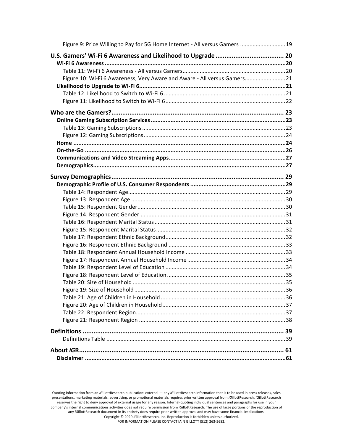| Figure 9: Price Willing to Pay for 5G Home Internet - All versus Gamers  19 |  |
|-----------------------------------------------------------------------------|--|
|                                                                             |  |
|                                                                             |  |
|                                                                             |  |
| Figure 10: Wi-Fi 6 Awareness, Very Aware and Aware - All versus Gamers 21   |  |
|                                                                             |  |
|                                                                             |  |
|                                                                             |  |
|                                                                             |  |
|                                                                             |  |
|                                                                             |  |
|                                                                             |  |
|                                                                             |  |
|                                                                             |  |
|                                                                             |  |
|                                                                             |  |
|                                                                             |  |
|                                                                             |  |
|                                                                             |  |
|                                                                             |  |
|                                                                             |  |
|                                                                             |  |
|                                                                             |  |
|                                                                             |  |
|                                                                             |  |
|                                                                             |  |
|                                                                             |  |
|                                                                             |  |
|                                                                             |  |
|                                                                             |  |
|                                                                             |  |
|                                                                             |  |
|                                                                             |  |
|                                                                             |  |
|                                                                             |  |
|                                                                             |  |
|                                                                             |  |
|                                                                             |  |
|                                                                             |  |
|                                                                             |  |

Quoting information from an *iGillottResearch publication: external — any <i>iGillottResearch* information that is to be used in press releases, sales presentations, marketing materials, advertising, or promotional materials requires prior written approval from *iG*illottResearch. *iGillottResearch* reserves the right to deny approval of external usage for any reason. Internal-quoting individual sentences and paragraphs for use in your company's internal communications activities does not require permission from *iG*illottResearch. The use of large portions or the reproduction of any iGillottResearch document in its entirety does require prior written approval and may have some financial implications. Copyright © 2020 *iGillottResearch, Inc. Reproduction* is forbidden unless authorized. FOR INFORMATION PLEASE CONTACT IAIN GILLOTT (512) 263-5682.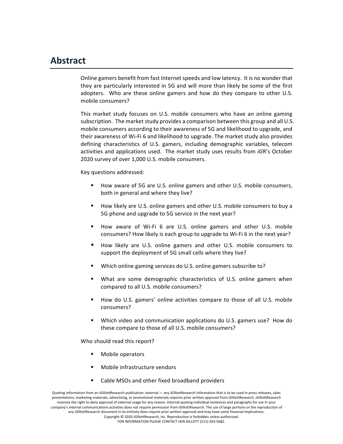## **Abstract**

Online gamers benefit from fast Internet speeds and low latency. It is no wonder that they are particularly interested in 5G and will more than likely be some of the first adopters. Who are these online gamers and how do they compare to other U.S. mobile consumers?

This market study focuses on U.S. mobile consumers who have an online gaming subscription. The market study provides a comparison between this group and all U.S. mobile consumers according to their awareness of 5G and likelihood to upgrade, and their awareness of Wi-Fi 6 and likelihood to upgrade. The market study also provides defining characteristics of U.S. gamers, including demographic variables, telecom activities and applications used. The market study uses results from *iGR's* October 2020 survey of over 1,000 U.S. mobile consumers.

Key questions addressed:

- How aware of 5G are U.S. online gamers and other U.S. mobile consumers, both in general and where they live?
- How likely are U.S. online gamers and other U.S. mobile consumers to buy a 5G phone and upgrade to 5G service in the next year?
- How aware of Wi-Fi 6 are U.S. online gamers and other U.S. mobile consumers? How likely is each group to upgrade to Wi-Fi 6 in the next year?
- How likely are U.S. online gamers and other U.S. mobile consumers to support the deployment of 5G small cells where they live?
- Which online gaming services do U.S. online gamers subscribe to?
- What are some demographic characteristics of U.S. online gamers when compared to all U.S. mobile consumers?
- How do U.S. gamers' online activities compare to those of all U.S. mobile consumers?
- Which video and communication applications do U.S. gamers use? How do these compare to those of all U.S. mobile consumers?

Who should read this report?

- Mobile operators
- Mobile infrastructure vendors
- Cable MSOs and other fixed broadband providers

Quoting information from an *iGillottResearch publication:* external — any *iGillottResearch information that is to be used in press releases, sales* presentations, marketing materials, advertising, or promotional materials requires prior written approval from *iG*illottResearch. *iGillottResearch* reserves the right to deny approval of external usage for any reason. Internal-quoting individual sentences and paragraphs for use in your company's internal communications activities does not require permission from *iGillottResearch*. The use of large portions or the reproduction of any *iGillottResearch document in its entirety does require prior written approval and may have some financial implications.* Copyright © 2020 *iG*illottResearch, Inc. Reproduction is forbidden unless authorized. FOR INFORMATION PLEASE CONTACT IAIN GILLOTT (512) 263-5682.